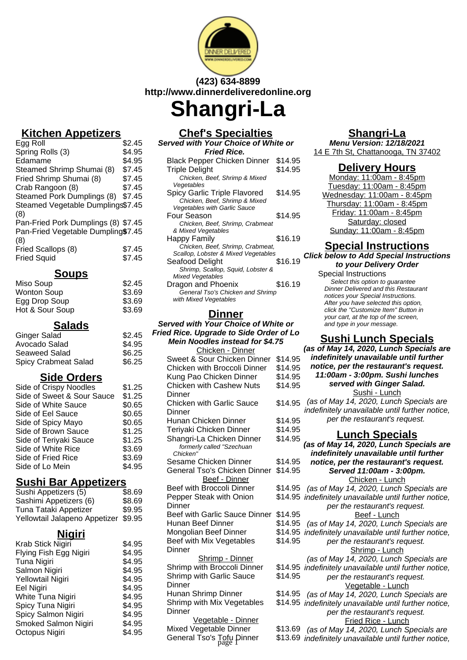

# **(423) 634-8899 http://www.dinnerdeliveredonline.org Shangri-La**

## **Kitchen Appetizers**

| \$2.45                              |
|-------------------------------------|
| \$4.95                              |
| \$4.95                              |
| \$7.45                              |
| \$7.45                              |
| \$7.45                              |
| \$7.45                              |
| Steamed Vegetable Dumplings\$7.45   |
|                                     |
| Pan-Fried Pork Dumplings (8) \$7.45 |
| Pan-Fried Vegetable Dumpling\$7.45  |
|                                     |
| \$7.45                              |
| \$7.45                              |
|                                     |

#### **Soups**

| Miso Soup          | \$2.45 |
|--------------------|--------|
| <b>Wonton Soup</b> | \$3.69 |
| Egg Drop Soup      | \$3.69 |
| Hot & Sour Soup    | \$3.69 |

**Salads**

| Ginger Salad                | \$2.45 |
|-----------------------------|--------|
| Avocado Salad               | \$4.95 |
| Seaweed Salad               | \$6.25 |
| <b>Spicy Crabmeat Salad</b> | \$6.25 |
|                             |        |

# **Side Orders**

| Side of Crispy Noodles     | \$1.25 |
|----------------------------|--------|
| Side of Sweet & Sour Sauce | \$1.25 |
| Side of White Sauce        | \$0.65 |
| Side of Eel Sauce          | \$0.65 |
| Side of Spicy Mayo         | \$0.65 |
| Side of Brown Sauce        | \$1.25 |
| Side of Teriyaki Sauce     | \$1.25 |
| Side of White Rice         | \$3.69 |
| Side of Fried Rice         | \$3.69 |
| Side of Lo Mein            | \$4.95 |

## **Sushi Bar Appetizers**

| Sushi Appetizers (5)                 | \$8.69 |
|--------------------------------------|--------|
| Sashimi Appetizers (6)               | \$8.69 |
| Tuna Tataki Appetizer                | \$9.95 |
| Yellowtail Jalapeno Appetizer \$9.95 |        |

## **Nigiri**

| Krab Stick Nigiri      | \$4.95 |
|------------------------|--------|
| Flying Fish Egg Nigiri | \$4.95 |
| Tuna Nigiri            | \$4.95 |
| Salmon Nigiri          | \$4.95 |
| Yellowtail Nigiri      | \$4.95 |
| <b>Eel Nigiri</b>      | \$4.95 |
| White Tuna Nigiri      | \$4.95 |
| Spicy Tuna Nigiri      | \$4.95 |
| Spicy Salmon Nigiri    | \$4.95 |
| Smoked Salmon Nigiri   | \$4.95 |
| Octopus Nigiri         | \$4.95 |

#### **Chef's Specialties Served with Your Choice of White or**

**Fried Rice.**

| <b>Black Pepper Chicken Dinner</b>  | \$14.95 |
|-------------------------------------|---------|
| <b>Triple Delight</b>               | \$14.95 |
| Chicken, Beef, Shrimp & Mixed       |         |
| Veqetables                          |         |
| Spicy Garlic Triple Flavored        | \$14.95 |
| Chicken, Beef, Shrimp & Mixed       |         |
| <b>Vegetables with Garlic Sauce</b> |         |
| Four Season                         | \$14.95 |
| Chicken, Beef, Shrimp, Crabmeat     |         |
| & Mixed Vegetables                  |         |
| Happy Family                        | \$16.19 |
| Chicken, Beef, Shrimp, Crabmeat,    |         |
| Scallop, Lobster & Mixed Vegetables |         |
| Seafood Delight                     | \$16.19 |
| Shrimp, Scallop, Squid, Lobster &   |         |
| <b>Mixed Vegetables</b>             |         |
| Dragon and Phoenix                  | \$16.19 |
| General Tso's Chicken and Shrimp    |         |
| with Mixed Vegetables               |         |

## **Dinner**

#### **Served with Your Choice of White or Fried Rice. Upgrade to Side Order of Lo Mein Noodles instead for \$4.75** Chicken - Dinner

| <u> CHICKELI - DIHIIEI</u>            |         |
|---------------------------------------|---------|
| Sweet & Sour Chicken Dinner           | \$14.95 |
| Chicken with Broccoli Dinner          | \$14.95 |
| Kung Pao Chicken Dinner               | \$14.95 |
| <b>Chicken with Cashew Nuts</b>       | \$14.95 |
| Dinner                                |         |
| <b>Chicken with Garlic Sauce</b>      | \$14.95 |
| Dinner                                |         |
| Hunan Chicken Dinner                  | \$14.95 |
| Teriyaki Chicken Dinner               | \$14.95 |
| Shangri-La Chicken Dinner             | \$14.95 |
| formerly called "Szechuan<br>Chicken" |         |
| Sesame Chicken Dinner                 | \$14.95 |
| General Tso's Chicken Dinner          | \$14.95 |
| Beef - Dinner                         |         |
| Beef with Broccoli Dinner             | \$14.95 |
| Pepper Steak with Onion               | \$14.95 |
| Dinner                                |         |
| Beef with Garlic Sauce Dinner         | \$14.95 |
| Hunan Beef Dinner                     | \$14.95 |
| Mongolian Beef Dinner                 | \$14.95 |
| Beef with Mix Vegetables              | \$14.95 |
| <b>Dinner</b>                         |         |
| <b>Shrimp - Dinner</b>                |         |
| Shrimp with Broccoli Dinner           | \$14.95 |
| <b>Shrimp with Garlic Sauce</b>       | \$14.95 |
| Dinner                                |         |
| Hunan Shrimp Dinner                   | \$14.95 |
| Shrimp with Mix Vegetables            | \$14.95 |
| Dinner                                |         |
| Vegetable - Dinner                    |         |
| Mixed Vegetable Dinner                | \$13.69 |
| General Tso's Tofu Dinner             | \$13.69 |
|                                       |         |

## **Shangri-La**

**Menu Version: 12/18/2021** 14 E 7th St, Chattanooga, TN 37402

## **Delivery Hours**

Monday: 11:00am - 8:45pm Tuesday: 11:00am - 8:45pm Wednesday: 11:00am - 8:45pm Thursday: 11:00am - 8:45pm Friday: 11:00am - 8:45pm Saturday: closed Sunday: 11:00am - 8:45pm

#### **Special Instructions Click below to Add Special Instructions**

**to your Delivery Order**

Special Instructions Select this option to quarantee Dinner Delivered and this Restaurant notices your Special Instructions. After you have selected this option, click the "Customize Item" Button in your cart, at the top of the screen, and type in your message.

# **Sushi Lunch Specials**

|         | (as of May 14, 2020, Lunch Specials are                                         |
|---------|---------------------------------------------------------------------------------|
| \$14.95 | indefinitely unavailable until further                                          |
| \$14.95 | notice, per the restaurant's request.                                           |
| \$14.95 | 11:00am - 3:00pm. Sushi lunches                                                 |
| \$14.95 | served with Ginger Salad.                                                       |
|         | Sushi - Lunch                                                                   |
| \$14.95 | (as of May 14, 2020, Lunch Specials are                                         |
|         | indefinitely unavailable until further notice,                                  |
| \$14.95 | per the restaurant's request.                                                   |
| \$14.95 | <u> Lunch Specials</u>                                                          |
| \$14.95 | (as of May 14, 2020, Lunch Specials are                                         |
|         | indefinitely unavailable until further                                          |
| \$14.95 | notice, per the restaurant's request.                                           |
| \$14.95 | Served 11:00am - 3:00pm.                                                        |
|         | Chicken - Lunch                                                                 |
| \$14.95 | (as of May 14, 2020, Lunch Specials are                                         |
| \$14.95 | indefinitely unavailable until further notice,                                  |
|         | per the restaurant's request.                                                   |
| \$14.95 | Beef - Lunch                                                                    |
| \$14.95 | (as of May 14, 2020, Lunch Specials are                                         |
| \$14.95 | indefinitely unavailable until further notice,                                  |
| \$14.95 | per the restaurant's request.                                                   |
|         | Shrimp - Lunch                                                                  |
|         | (as of May 14, 2020, Lunch Specials are                                         |
| \$14.95 | indefinitely unavailable until further notice,                                  |
| \$14.95 | per the restaurant's request.                                                   |
| \$14.95 | Vegetable - Lunch                                                               |
| \$14.95 | (as of May 14, 2020, Lunch Specials are                                         |
|         | indefinitely unavailable until further notice,<br>per the restaurant's request. |
|         | Fried Rice - Lunch                                                              |
| \$13.69 | (as of May 14, 2020, Lunch Specials are                                         |
| \$13.69 | indefinitely unavailable until further notice,                                  |
|         |                                                                                 |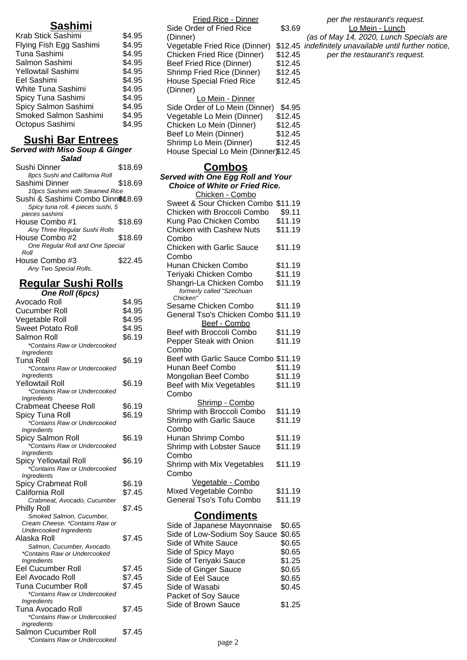## **Sashimi**

| Krab Stick Sashimi      | \$4.95 |
|-------------------------|--------|
| Flying Fish Egg Sashimi | \$4.95 |
| Tuna Sashimi            | \$4.95 |
| Salmon Sashimi          | \$4.95 |
| Yellowtail Sashimi      | \$4.95 |
| Eel Sashimi             | \$4.95 |
| White Tuna Sashimi      | \$4.95 |
| Spicy Tuna Sashimi      | \$4.95 |
| Spicy Salmon Sashimi    | \$4.95 |
| Smoked Salmon Sashimi   | \$4.95 |
| Octopus Sashimi         | \$4.95 |
|                         |        |

## **Sushi Bar Entrees**

#### **Served with Miso Soup & Ginger Salad**

| Sushi Dinner                       | \$18.69 |
|------------------------------------|---------|
| 8pcs Sushi and California Roll     |         |
| Sashimi Dinner                     | \$18.69 |
| 10pcs Sashimi with Steamed Rice    |         |
| Sushi & Sashimi Combo Dinn&18.69   |         |
| Spicy tuna roll, 4 pieces sushi, 5 |         |
| pieces sashimi                     |         |
| House Combo #1                     | \$18.69 |
| Any Three Regular Sushi Rolls      |         |
| House Combo #2                     | \$18.69 |
| One Reqular Roll and One Special   |         |
| Roll                               |         |
| House Combo #3                     | \$22.45 |
| Any Two Special Rolls.             |         |

# **Regular Sushi Rolls**

| One Roll (6pcs)                                   |        |
|---------------------------------------------------|--------|
| Avocado Roll                                      | \$4.95 |
| Cucumber Roll                                     | \$4.95 |
| Vegetable Roll                                    | \$4.95 |
| Sweet Potato Roll                                 | \$4.95 |
| Salmon Roll                                       | \$6.19 |
| *Contains Raw or Undercooked                      |        |
| Ingredients                                       |        |
| Tuna Roll                                         | \$6.19 |
| *Contains Raw or Undercooked                      |        |
| Ingredients                                       |        |
| Yellowtail Roll                                   | \$6.19 |
| *Contains Raw or Undercooked                      |        |
| Ingredients                                       |        |
| <b>Crabmeat Cheese Roll</b>                       | \$6.19 |
| Spicy Tuna Roll                                   | \$6.19 |
| *Contains Raw or Undercooked                      |        |
| <b>Ingredients</b>                                |        |
| Spicy Salmon Roll                                 | \$6.19 |
| *Contains Raw or Undercooked                      |        |
| Ingredients<br>Spicy Yellowtail Roll              | \$6.19 |
| *Contains Raw or Undercooked                      |        |
| Ingredients                                       |        |
| Spicy Crabmeat Roll                               | \$6.19 |
| California Roll                                   | \$7.45 |
| Crabmeat, Avocado, Cucumber                       |        |
| <b>Philly Roll</b>                                | \$7.45 |
| Smoked Salmon, Cucumber,                          |        |
| Cream Cheese. *Contains Raw or                    |        |
| <b>Undercooked Ingredients</b>                    |        |
| Alaska Roll                                       | \$7.45 |
| Salmon, Cucumber, Avocado.                        |        |
| *Contains Raw or Undercooked                      |        |
| Ingredients                                       |        |
| Eel Cucumber Roll                                 | \$7.45 |
| Eel Avocado Roll                                  | \$7.45 |
| Tuna Cucumber Roll                                | \$7.45 |
| *Contains Raw or Undercooked                      |        |
| Ingredients                                       |        |
| Tuna Avocado Roll<br>*Contains Raw or Undercooked | \$7.45 |
| <b>Ingredients</b>                                |        |
| Salmon Cucumber Roll                              | \$7.45 |
| *Contains Raw or Undercooked                      |        |
|                                                   |        |

| <b>Fried Rice - Dinner</b>            |         |
|---------------------------------------|---------|
| Side Order of Fried Rice              | \$3.69  |
| (Dinner)                              |         |
| Vegetable Fried Rice (Dinner)         | \$12.45 |
| Chicken Fried Rice (Dinner)           | \$12.45 |
| Beef Fried Rice (Dinner)              | \$12.45 |
| Shrimp Fried Rice (Dinner)            | \$12.45 |
| <b>House Special Fried Rice</b>       | \$12.45 |
| (Dinner)                              |         |
| Lo Mein - Dinner                      |         |
| Side Order of Lo Mein (Dinner)        | \$4.95  |
| Vegetable Lo Mein (Dinner)            | \$12.45 |
| Chicken Lo Mein (Dinner)              | \$12.45 |
| Beef Lo Mein (Dinner)                 | \$12.45 |
| Shrimp Lo Mein (Dinner)               | \$12.45 |
| House Special Lo Mein (Dinner)\$12.45 |         |

| Combos                                |         |  |
|---------------------------------------|---------|--|
| Served with One Egg Roll and Your     |         |  |
| <b>Choice of White or Fried Rice.</b> |         |  |
| Chicken - Combo                       |         |  |
| Sweet & Sour Chicken Combo            | \$11.19 |  |
| Chicken with Broccoli Combo           | \$9.11  |  |
| Kung Pao Chicken Combo                | \$11.19 |  |
| <b>Chicken with Cashew Nuts</b>       | \$11.19 |  |
| Combo                                 |         |  |
| <b>Chicken with Garlic Sauce</b>      | \$11.19 |  |
| Combo                                 |         |  |
| Hunan Chicken Combo                   | \$11.19 |  |
| Teriyaki Chicken Combo                | \$11.19 |  |
| Shangri-La Chicken Combo              | \$11.19 |  |
| formerly called "Szechuan             |         |  |
| Chicken"<br>Sesame Chicken Combo      | \$11.19 |  |
| General Tso's Chicken Combo \$11.19   |         |  |
| Beef - Combo                          |         |  |
| Beef with Broccoli Combo              | \$11.19 |  |
| Pepper Steak with Onion               | \$11.19 |  |
| Combo                                 |         |  |
| Beef with Garlic Sauce Combo \$11.19  |         |  |
| Hunan Beef Combo                      | \$11.19 |  |
| Mongolian Beef Combo                  | \$11.19 |  |
| Beef with Mix Vegetables              | \$11.19 |  |
| Combo                                 |         |  |
| Shrimp - Combo                        |         |  |
| Shrimp with Broccoli Combo            | \$11.19 |  |
| <b>Shrimp with Garlic Sauce</b>       | \$11.19 |  |
| Combo                                 |         |  |
| Hunan Shrimp Combo                    | \$11.19 |  |
| Shrimp with Lobster Sauce             | \$11.19 |  |
| Combo                                 |         |  |
| Shrimp with Mix Vegetables            | \$11.19 |  |
| Combo                                 |         |  |
| Vegetable - Combo                     |         |  |
| Mixed Vegetable Combo                 | \$11.19 |  |
| General Tso's Tofu Combo              | \$11.19 |  |
|                                       |         |  |
| Condiments                            |         |  |

| Side of Japanese Mayonnaise         | \$0.65 |
|-------------------------------------|--------|
| Side of Low-Sodium Soy Sauce \$0.65 |        |
| Side of White Sauce                 | \$0.65 |
| Side of Spicy Mayo                  | \$0.65 |
| Side of Teriyaki Sauce              | \$1.25 |
| Side of Ginger Sauce                | \$0.65 |
| Side of Eel Sauce                   | \$0.65 |
| Side of Wasabi                      | \$0.45 |
| Packet of Soy Sauce                 |        |
| Side of Brown Sauce                 | \$1.25 |
|                                     |        |

## per the restaurant's request. Lo Mein - Lunch

(as of May 14, 2020, Lunch Specials are indefinitely unavailable until further notice,

per the restaurant's request.